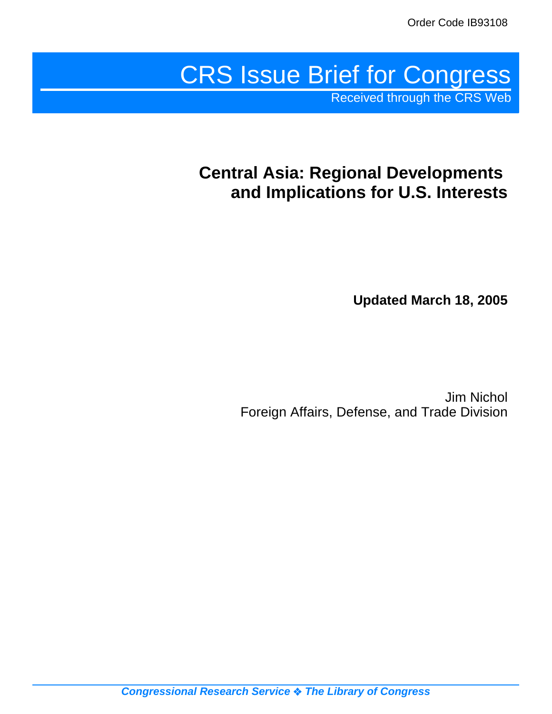# CRS Issue Brief for Congress

Received through the CRS Web

## **Central Asia: Regional Developments and Implications for U.S. Interests**

**Updated March 18, 2005**

Jim Nichol Foreign Affairs, Defense, and Trade Division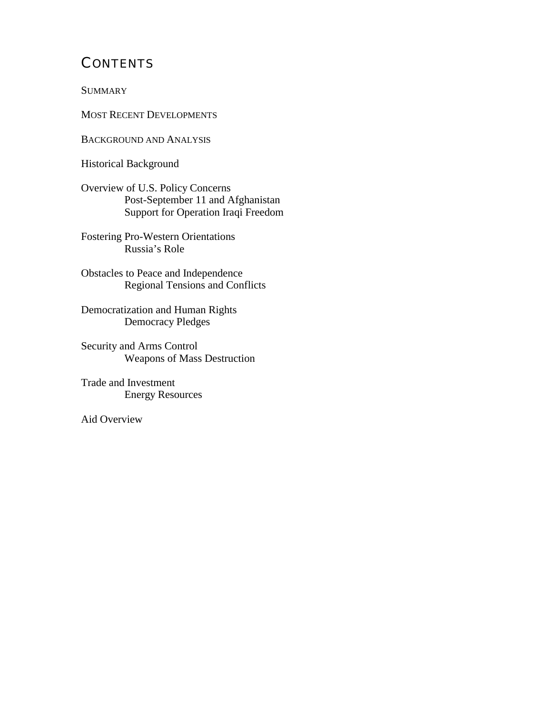## **CONTENTS**

**SUMMARY** 

MOST RECENT DEVELOPMENTS

BACKGROUND AND ANALYSIS

Historical Background

Overview of U.S. Policy Concerns Post-September 11 and Afghanistan Support for Operation Iraqi Freedom

Fostering Pro-Western Orientations Russia's Role

Obstacles to Peace and Independence Regional Tensions and Conflicts

Democratization and Human Rights Democracy Pledges

Security and Arms Control Weapons of Mass Destruction

Trade and Investment Energy Resources

Aid Overview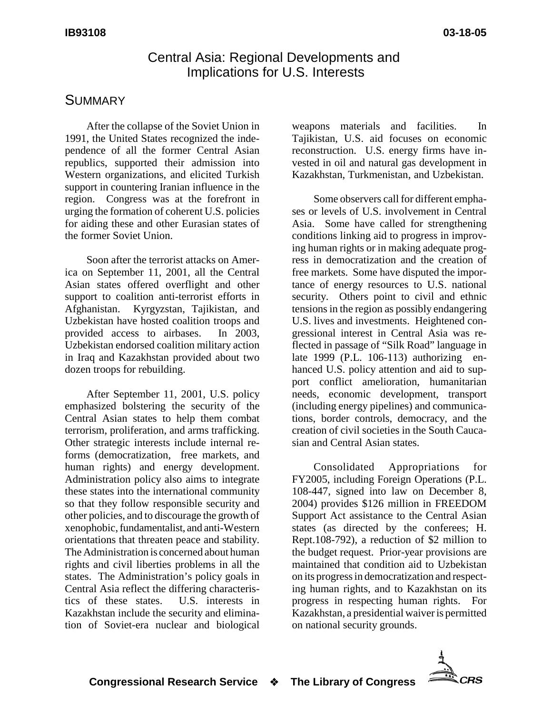#### Central Asia: Regional Developments and Implications for U.S. Interests

#### **SUMMARY**

After the collapse of the Soviet Union in 1991, the United States recognized the independence of all the former Central Asian republics, supported their admission into Western organizations, and elicited Turkish support in countering Iranian influence in the region. Congress was at the forefront in urging the formation of coherent U.S. policies for aiding these and other Eurasian states of the former Soviet Union.

Soon after the terrorist attacks on America on September 11, 2001, all the Central Asian states offered overflight and other support to coalition anti-terrorist efforts in Afghanistan. Kyrgyzstan, Tajikistan, and Uzbekistan have hosted coalition troops and provided access to airbases. In 2003, Uzbekistan endorsed coalition military action in Iraq and Kazakhstan provided about two dozen troops for rebuilding.

After September 11, 2001, U.S. policy emphasized bolstering the security of the Central Asian states to help them combat terrorism, proliferation, and arms trafficking. Other strategic interests include internal reforms (democratization, free markets, and human rights) and energy development. Administration policy also aims to integrate these states into the international community so that they follow responsible security and other policies, and to discourage the growth of xenophobic, fundamentalist, and anti-Western orientations that threaten peace and stability. The Administration is concerned about human rights and civil liberties problems in all the states. The Administration's policy goals in Central Asia reflect the differing characteristics of these states. U.S. interests in Kazakhstan include the security and elimination of Soviet-era nuclear and biological

weapons materials and facilities. In Tajikistan, U.S. aid focuses on economic reconstruction. U.S. energy firms have invested in oil and natural gas development in Kazakhstan, Turkmenistan, and Uzbekistan.

Some observers call for different emphases or levels of U.S. involvement in Central Asia. Some have called for strengthening conditions linking aid to progress in improving human rights or in making adequate progress in democratization and the creation of free markets. Some have disputed the importance of energy resources to U.S. national security. Others point to civil and ethnic tensions in the region as possibly endangering U.S. lives and investments. Heightened congressional interest in Central Asia was reflected in passage of "Silk Road" language in late 1999 (P.L. 106-113) authorizing enhanced U.S. policy attention and aid to support conflict amelioration, humanitarian needs, economic development, transport (including energy pipelines) and communications, border controls, democracy, and the creation of civil societies in the South Caucasian and Central Asian states.

Consolidated Appropriations for FY2005, including Foreign Operations (P.L. 108-447, signed into law on December 8, 2004) provides \$126 million in FREEDOM Support Act assistance to the Central Asian states (as directed by the conferees; H. Rept.108-792), a reduction of \$2 million to the budget request. Prior-year provisions are maintained that condition aid to Uzbekistan on its progress in democratization and respecting human rights, and to Kazakhstan on its progress in respecting human rights. For Kazakhstan, a presidential waiver is permitted on national security grounds.

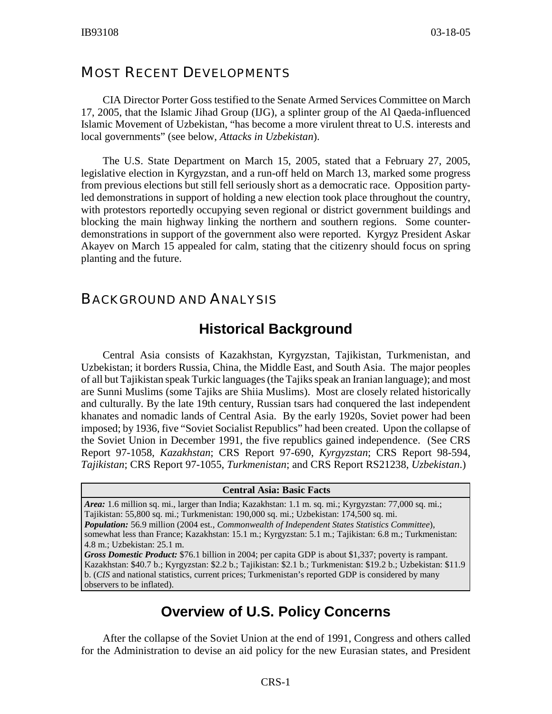#### MOST RECENT DEVELOPMENTS

CIA Director Porter Goss testified to the Senate Armed Services Committee on March 17, 2005, that the Islamic Jihad Group (IJG), a splinter group of the Al Qaeda-influenced Islamic Movement of Uzbekistan, "has become a more virulent threat to U.S. interests and local governments" (see below, *Attacks in Uzbekistan*).

The U.S. State Department on March 15, 2005, stated that a February 27, 2005, legislative election in Kyrgyzstan, and a run-off held on March 13, marked some progress from previous elections but still fell seriously short as a democratic race. Opposition partyled demonstrations in support of holding a new election took place throughout the country, with protestors reportedly occupying seven regional or district government buildings and blocking the main highway linking the northern and southern regions. Some counterdemonstrations in support of the government also were reported. Kyrgyz President Askar Akayev on March 15 appealed for calm, stating that the citizenry should focus on spring planting and the future.

#### BACKGROUND AND ANALYSIS

#### **Historical Background**

Central Asia consists of Kazakhstan, Kyrgyzstan, Tajikistan, Turkmenistan, and Uzbekistan; it borders Russia, China, the Middle East, and South Asia. The major peoples of all but Tajikistan speak Turkic languages (the Tajiks speak an Iranian language); and most are Sunni Muslims (some Tajiks are Shiia Muslims). Most are closely related historically and culturally. By the late 19th century, Russian tsars had conquered the last independent khanates and nomadic lands of Central Asia. By the early 1920s, Soviet power had been imposed; by 1936, five "Soviet Socialist Republics" had been created. Upon the collapse of the Soviet Union in December 1991, the five republics gained independence. (See CRS Report 97-1058, *Kazakhstan*; CRS Report 97-690, *Kyrgyzstan*; CRS Report 98-594, *Tajikistan*; CRS Report 97-1055, *Turkmenistan*; and CRS Report RS21238, *Uzbekistan*.)

#### **Central Asia: Basic Facts**

*Area:* 1.6 million sq. mi., larger than India; Kazakhstan: 1.1 m. sq. mi.; Kyrgyzstan: 77,000 sq. mi.; Tajikistan: 55,800 sq. mi.; Turkmenistan: 190,000 sq. mi.; Uzbekistan: 174,500 sq. mi. *Population:* 56.9 million (2004 est., *Commonwealth of Independent States Statistics Committee*), somewhat less than France; Kazakhstan: 15.1 m.; Kyrgyzstan: 5.1 m.; Tajikistan: 6.8 m.; Turkmenistan: 4.8 m.; Uzbekistan: 25.1 m.

*Gross Domestic Product:* \$76.1 billion in 2004; per capita GDP is about \$1,337; poverty is rampant. Kazakhstan: \$40.7 b.; Kyrgyzstan: \$2.2 b.; Tajikistan: \$2.1 b.; Turkmenistan: \$19.2 b.; Uzbekistan: \$11.9 b. (*CIS* and national statistics, current prices; Turkmenistan's reported GDP is considered by many observers to be inflated).

#### **Overview of U.S. Policy Concerns**

After the collapse of the Soviet Union at the end of 1991, Congress and others called for the Administration to devise an aid policy for the new Eurasian states, and President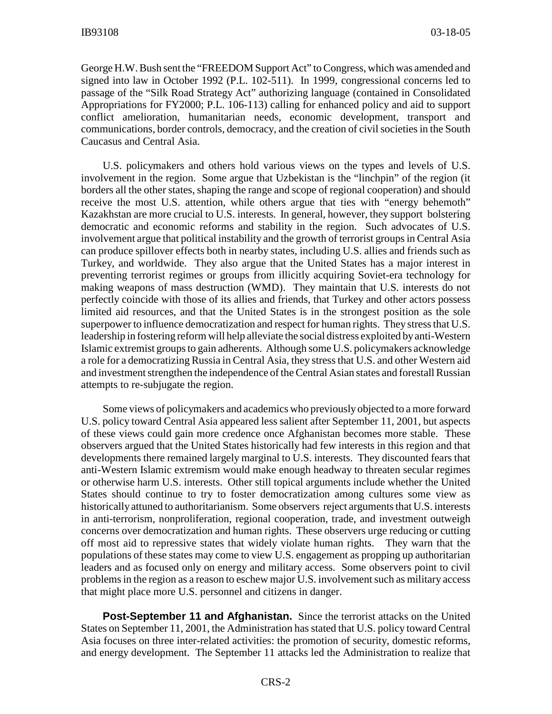George H.W. Bush sent the "FREEDOM Support Act" to Congress, which was amended and signed into law in October 1992 (P.L. 102-511). In 1999, congressional concerns led to passage of the "Silk Road Strategy Act" authorizing language (contained in Consolidated Appropriations for FY2000; P.L. 106-113) calling for enhanced policy and aid to support conflict amelioration, humanitarian needs, economic development, transport and communications, border controls, democracy, and the creation of civil societies in the South Caucasus and Central Asia.

U.S. policymakers and others hold various views on the types and levels of U.S. involvement in the region. Some argue that Uzbekistan is the "linchpin" of the region (it borders all the other states, shaping the range and scope of regional cooperation) and should receive the most U.S. attention, while others argue that ties with "energy behemoth" Kazakhstan are more crucial to U.S. interests. In general, however, they support bolstering democratic and economic reforms and stability in the region. Such advocates of U.S. involvement argue that political instability and the growth of terrorist groups in Central Asia can produce spillover effects both in nearby states, including U.S. allies and friends such as Turkey, and worldwide. They also argue that the United States has a major interest in preventing terrorist regimes or groups from illicitly acquiring Soviet-era technology for making weapons of mass destruction (WMD). They maintain that U.S. interests do not perfectly coincide with those of its allies and friends, that Turkey and other actors possess limited aid resources, and that the United States is in the strongest position as the sole superpower to influence democratization and respect for human rights. They stress that U.S. leadership in fostering reform will help alleviate the social distress exploited by anti-Western Islamic extremist groups to gain adherents. Although some U.S. policymakers acknowledge a role for a democratizing Russia in Central Asia, they stress that U.S. and other Western aid and investment strengthen the independence of the Central Asian states and forestall Russian attempts to re-subjugate the region.

Some views of policymakers and academics who previously objected to a more forward U.S. policy toward Central Asia appeared less salient after September 11, 2001, but aspects of these views could gain more credence once Afghanistan becomes more stable. These observers argued that the United States historically had few interests in this region and that developments there remained largely marginal to U.S. interests. They discounted fears that anti-Western Islamic extremism would make enough headway to threaten secular regimes or otherwise harm U.S. interests. Other still topical arguments include whether the United States should continue to try to foster democratization among cultures some view as historically attuned to authoritarianism. Some observers reject arguments that U.S. interests in anti-terrorism, nonproliferation, regional cooperation, trade, and investment outweigh concerns over democratization and human rights. These observers urge reducing or cutting off most aid to repressive states that widely violate human rights. They warn that the populations of these states may come to view U.S. engagement as propping up authoritarian leaders and as focused only on energy and military access. Some observers point to civil problems in the region as a reason to eschew major U.S. involvement such as military access that might place more U.S. personnel and citizens in danger.

**Post-September 11 and Afghanistan.** Since the terrorist attacks on the United States on September 11, 2001, the Administration has stated that U.S. policy toward Central Asia focuses on three inter-related activities: the promotion of security, domestic reforms, and energy development. The September 11 attacks led the Administration to realize that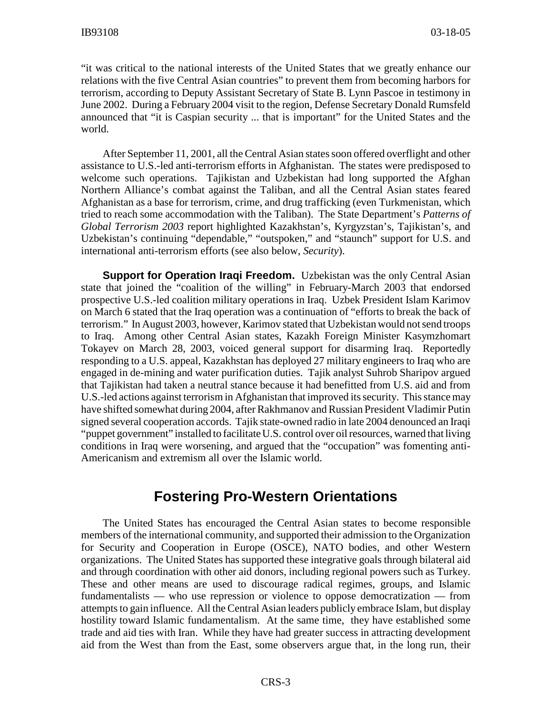"it was critical to the national interests of the United States that we greatly enhance our relations with the five Central Asian countries" to prevent them from becoming harbors for terrorism, according to Deputy Assistant Secretary of State B. Lynn Pascoe in testimony in June 2002. During a February 2004 visit to the region, Defense Secretary Donald Rumsfeld announced that "it is Caspian security ... that is important" for the United States and the world.

After September 11, 2001, all the Central Asian states soon offered overflight and other assistance to U.S.-led anti-terrorism efforts in Afghanistan. The states were predisposed to welcome such operations. Tajikistan and Uzbekistan had long supported the Afghan Northern Alliance's combat against the Taliban, and all the Central Asian states feared Afghanistan as a base for terrorism, crime, and drug trafficking (even Turkmenistan, which tried to reach some accommodation with the Taliban). The State Department's *Patterns of Global Terrorism 2003* report highlighted Kazakhstan's, Kyrgyzstan's, Tajikistan's, and Uzbekistan's continuing "dependable," "outspoken," and "staunch" support for U.S. and international anti-terrorism efforts (see also below, *Security*).

**Support for Operation Iraqi Freedom.** Uzbekistan was the only Central Asian state that joined the "coalition of the willing" in February-March 2003 that endorsed prospective U.S.-led coalition military operations in Iraq. Uzbek President Islam Karimov on March 6 stated that the Iraq operation was a continuation of "efforts to break the back of terrorism." In August 2003, however, Karimov stated that Uzbekistan would not send troops to Iraq. Among other Central Asian states, Kazakh Foreign Minister Kasymzhomart Tokayev on March 28, 2003, voiced general support for disarming Iraq. Reportedly responding to a U.S. appeal, Kazakhstan has deployed 27 military engineers to Iraq who are engaged in de-mining and water purification duties. Tajik analyst Suhrob Sharipov argued that Tajikistan had taken a neutral stance because it had benefitted from U.S. aid and from U.S.-led actions against terrorism in Afghanistan that improved its security. This stance may have shifted somewhat during 2004, after Rakhmanov and Russian President Vladimir Putin signed several cooperation accords. Tajik state-owned radio in late 2004 denounced an Iraqi "puppet government" installed to facilitate U.S. control over oil resources, warned that living conditions in Iraq were worsening, and argued that the "occupation" was fomenting anti-Americanism and extremism all over the Islamic world.

#### **Fostering Pro-Western Orientations**

The United States has encouraged the Central Asian states to become responsible members of the international community, and supported their admission to the Organization for Security and Cooperation in Europe (OSCE), NATO bodies, and other Western organizations. The United States has supported these integrative goals through bilateral aid and through coordination with other aid donors, including regional powers such as Turkey. These and other means are used to discourage radical regimes, groups, and Islamic fundamentalists — who use repression or violence to oppose democratization — from attempts to gain influence. All the Central Asian leaders publicly embrace Islam, but display hostility toward Islamic fundamentalism. At the same time, they have established some trade and aid ties with Iran. While they have had greater success in attracting development aid from the West than from the East, some observers argue that, in the long run, their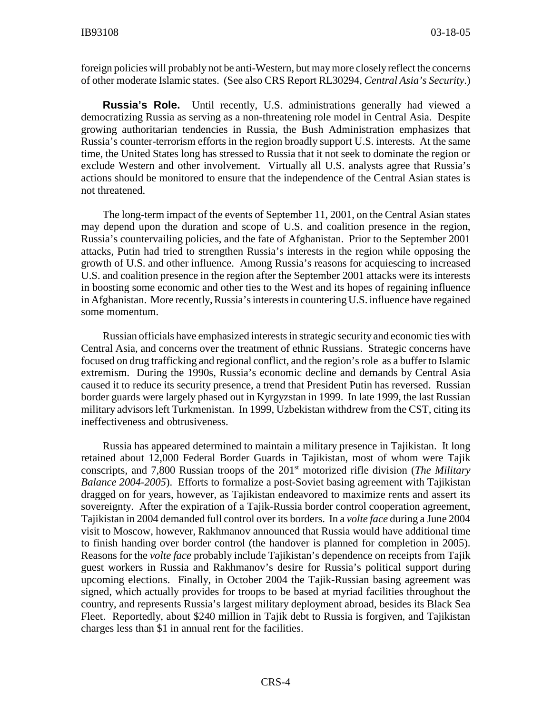foreign policies will probably not be anti-Western, but may more closely reflect the concerns of other moderate Islamic states. (See also CRS Report RL30294, *Central Asia's Security*.)

**Russia's Role.** Until recently, U.S. administrations generally had viewed a democratizing Russia as serving as a non-threatening role model in Central Asia. Despite growing authoritarian tendencies in Russia, the Bush Administration emphasizes that Russia's counter-terrorism efforts in the region broadly support U.S. interests. At the same time, the United States long has stressed to Russia that it not seek to dominate the region or exclude Western and other involvement. Virtually all U.S. analysts agree that Russia's actions should be monitored to ensure that the independence of the Central Asian states is not threatened.

The long-term impact of the events of September 11, 2001, on the Central Asian states may depend upon the duration and scope of U.S. and coalition presence in the region, Russia's countervailing policies, and the fate of Afghanistan. Prior to the September 2001 attacks, Putin had tried to strengthen Russia's interests in the region while opposing the growth of U.S. and other influence. Among Russia's reasons for acquiescing to increased U.S. and coalition presence in the region after the September 2001 attacks were its interests in boosting some economic and other ties to the West and its hopes of regaining influence in Afghanistan. More recently, Russia's interests in countering U.S. influence have regained some momentum.

Russian officials have emphasized interests in strategic security and economic ties with Central Asia, and concerns over the treatment of ethnic Russians. Strategic concerns have focused on drug trafficking and regional conflict, and the region's role as a buffer to Islamic extremism. During the 1990s, Russia's economic decline and demands by Central Asia caused it to reduce its security presence, a trend that President Putin has reversed. Russian border guards were largely phased out in Kyrgyzstan in 1999. In late 1999, the last Russian military advisors left Turkmenistan. In 1999, Uzbekistan withdrew from the CST, citing its ineffectiveness and obtrusiveness.

Russia has appeared determined to maintain a military presence in Tajikistan. It long retained about 12,000 Federal Border Guards in Tajikistan, most of whom were Tajik conscripts, and 7,800 Russian troops of the 201st motorized rifle division (*The Military Balance 2004-2005*). Efforts to formalize a post-Soviet basing agreement with Tajikistan dragged on for years, however, as Tajikistan endeavored to maximize rents and assert its sovereignty. After the expiration of a Tajik-Russia border control cooperation agreement, Tajikistan in 2004 demanded full control over its borders. In a *volte face* during a June 2004 visit to Moscow, however, Rakhmanov announced that Russia would have additional time to finish handing over border control (the handover is planned for completion in 2005). Reasons for the *volte face* probably include Tajikistan's dependence on receipts from Tajik guest workers in Russia and Rakhmanov's desire for Russia's political support during upcoming elections. Finally, in October 2004 the Tajik-Russian basing agreement was signed, which actually provides for troops to be based at myriad facilities throughout the country, and represents Russia's largest military deployment abroad, besides its Black Sea Fleet. Reportedly, about \$240 million in Tajik debt to Russia is forgiven, and Tajikistan charges less than \$1 in annual rent for the facilities.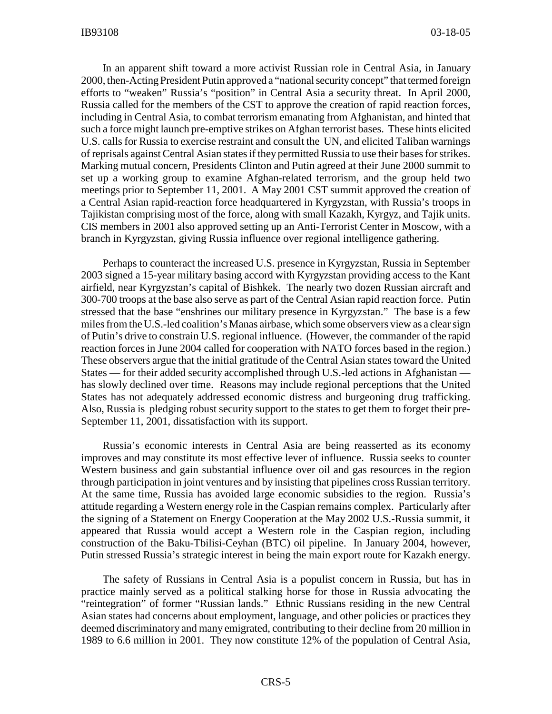In an apparent shift toward a more activist Russian role in Central Asia, in January 2000, then-Acting President Putin approved a "national security concept" that termed foreign efforts to "weaken" Russia's "position" in Central Asia a security threat. In April 2000, Russia called for the members of the CST to approve the creation of rapid reaction forces, including in Central Asia, to combat terrorism emanating from Afghanistan, and hinted that such a force might launch pre-emptive strikes on Afghan terrorist bases. These hints elicited U.S. calls for Russia to exercise restraint and consult the UN, and elicited Taliban warnings of reprisals against Central Asian states if they permitted Russia to use their bases for strikes. Marking mutual concern, Presidents Clinton and Putin agreed at their June 2000 summit to set up a working group to examine Afghan-related terrorism, and the group held two meetings prior to September 11, 2001. A May 2001 CST summit approved the creation of a Central Asian rapid-reaction force headquartered in Kyrgyzstan, with Russia's troops in Tajikistan comprising most of the force, along with small Kazakh, Kyrgyz, and Tajik units. CIS members in 2001 also approved setting up an Anti-Terrorist Center in Moscow, with a branch in Kyrgyzstan, giving Russia influence over regional intelligence gathering.

Perhaps to counteract the increased U.S. presence in Kyrgyzstan, Russia in September 2003 signed a 15-year military basing accord with Kyrgyzstan providing access to the Kant airfield, near Kyrgyzstan's capital of Bishkek. The nearly two dozen Russian aircraft and 300-700 troops at the base also serve as part of the Central Asian rapid reaction force. Putin stressed that the base "enshrines our military presence in Kyrgyzstan." The base is a few miles from the U.S.-led coalition's Manas airbase, which some observers view as a clear sign of Putin's drive to constrain U.S. regional influence. (However, the commander of the rapid reaction forces in June 2004 called for cooperation with NATO forces based in the region.) These observers argue that the initial gratitude of the Central Asian states toward the United States — for their added security accomplished through U.S.-led actions in Afghanistan has slowly declined over time. Reasons may include regional perceptions that the United States has not adequately addressed economic distress and burgeoning drug trafficking. Also, Russia is pledging robust security support to the states to get them to forget their pre-September 11, 2001, dissatisfaction with its support.

Russia's economic interests in Central Asia are being reasserted as its economy improves and may constitute its most effective lever of influence. Russia seeks to counter Western business and gain substantial influence over oil and gas resources in the region through participation in joint ventures and by insisting that pipelines cross Russian territory. At the same time, Russia has avoided large economic subsidies to the region. Russia's attitude regarding a Western energy role in the Caspian remains complex. Particularly after the signing of a Statement on Energy Cooperation at the May 2002 U.S.-Russia summit, it appeared that Russia would accept a Western role in the Caspian region, including construction of the Baku-Tbilisi-Ceyhan (BTC) oil pipeline. In January 2004, however, Putin stressed Russia's strategic interest in being the main export route for Kazakh energy.

The safety of Russians in Central Asia is a populist concern in Russia, but has in practice mainly served as a political stalking horse for those in Russia advocating the "reintegration" of former "Russian lands." Ethnic Russians residing in the new Central Asian states had concerns about employment, language, and other policies or practices they deemed discriminatory and many emigrated, contributing to their decline from 20 million in 1989 to 6.6 million in 2001. They now constitute 12% of the population of Central Asia,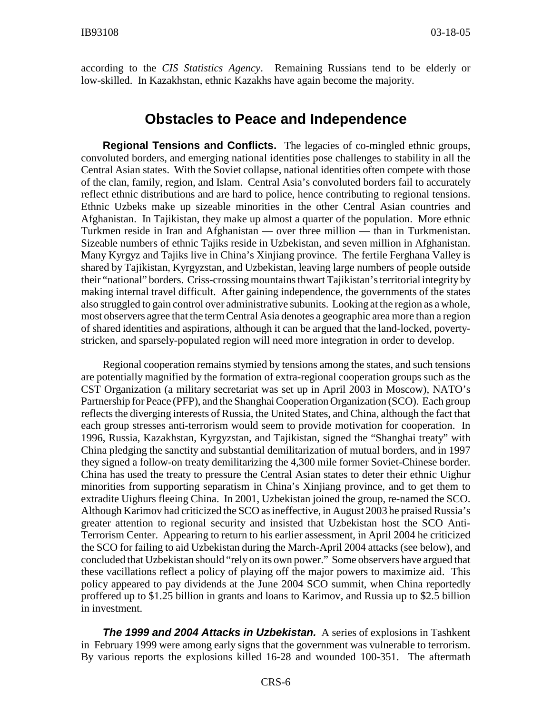according to the *CIS Statistics Agency*. Remaining Russians tend to be elderly or low-skilled. In Kazakhstan, ethnic Kazakhs have again become the majority.

#### **Obstacles to Peace and Independence**

**Regional Tensions and Conflicts.** The legacies of co-mingled ethnic groups, convoluted borders, and emerging national identities pose challenges to stability in all the Central Asian states. With the Soviet collapse, national identities often compete with those of the clan, family, region, and Islam. Central Asia's convoluted borders fail to accurately reflect ethnic distributions and are hard to police, hence contributing to regional tensions. Ethnic Uzbeks make up sizeable minorities in the other Central Asian countries and Afghanistan. In Tajikistan, they make up almost a quarter of the population. More ethnic Turkmen reside in Iran and Afghanistan — over three million — than in Turkmenistan. Sizeable numbers of ethnic Tajiks reside in Uzbekistan, and seven million in Afghanistan. Many Kyrgyz and Tajiks live in China's Xinjiang province. The fertile Ferghana Valley is shared by Tajikistan, Kyrgyzstan, and Uzbekistan, leaving large numbers of people outside their "national" borders. Criss-crossing mountains thwart Tajikistan's territorial integrity by making internal travel difficult. After gaining independence, the governments of the states also struggled to gain control over administrative subunits. Looking at the region as a whole, most observers agree that the term Central Asia denotes a geographic area more than a region of shared identities and aspirations, although it can be argued that the land-locked, povertystricken, and sparsely-populated region will need more integration in order to develop.

Regional cooperation remains stymied by tensions among the states, and such tensions are potentially magnified by the formation of extra-regional cooperation groups such as the CST Organization (a military secretariat was set up in April 2003 in Moscow), NATO's Partnership for Peace (PFP), and the Shanghai Cooperation Organization (SCO). Each group reflects the diverging interests of Russia, the United States, and China, although the fact that each group stresses anti-terrorism would seem to provide motivation for cooperation. In 1996, Russia, Kazakhstan, Kyrgyzstan, and Tajikistan, signed the "Shanghai treaty" with China pledging the sanctity and substantial demilitarization of mutual borders, and in 1997 they signed a follow-on treaty demilitarizing the 4,300 mile former Soviet-Chinese border. China has used the treaty to pressure the Central Asian states to deter their ethnic Uighur minorities from supporting separatism in China's Xinjiang province, and to get them to extradite Uighurs fleeing China. In 2001, Uzbekistan joined the group, re-named the SCO. Although Karimov had criticized the SCO as ineffective, in August 2003 he praised Russia's greater attention to regional security and insisted that Uzbekistan host the SCO Anti-Terrorism Center. Appearing to return to his earlier assessment, in April 2004 he criticized the SCO for failing to aid Uzbekistan during the March-April 2004 attacks (see below), and concluded that Uzbekistan should "rely on its own power." Some observers have argued that these vacillations reflect a policy of playing off the major powers to maximize aid. This policy appeared to pay dividends at the June 2004 SCO summit, when China reportedly proffered up to \$1.25 billion in grants and loans to Karimov, and Russia up to \$2.5 billion in investment.

*The 1999 and 2004 Attacks in Uzbekistan.* A series of explosions in Tashkent in February 1999 were among early signs that the government was vulnerable to terrorism. By various reports the explosions killed 16-28 and wounded 100-351. The aftermath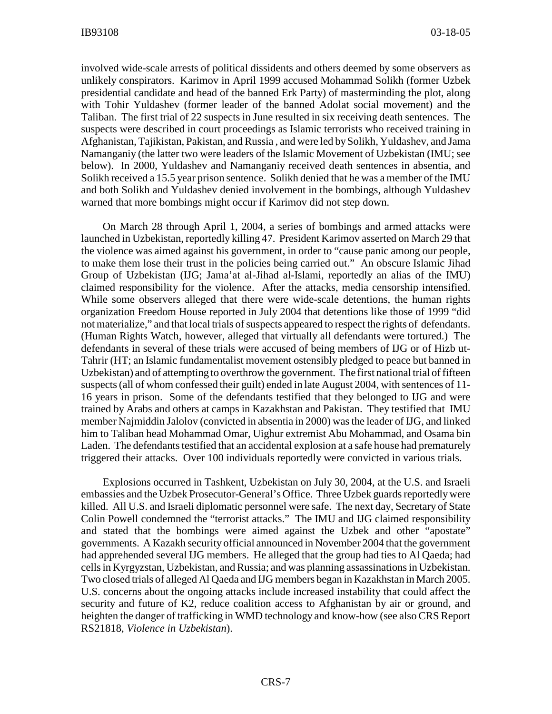involved wide-scale arrests of political dissidents and others deemed by some observers as unlikely conspirators. Karimov in April 1999 accused Mohammad Solikh (former Uzbek presidential candidate and head of the banned Erk Party) of masterminding the plot, along with Tohir Yuldashev (former leader of the banned Adolat social movement) and the Taliban. The first trial of 22 suspects in June resulted in six receiving death sentences. The suspects were described in court proceedings as Islamic terrorists who received training in Afghanistan, Tajikistan, Pakistan, and Russia , and were led by Solikh, Yuldashev, and Jama Namanganiy (the latter two were leaders of the Islamic Movement of Uzbekistan (IMU; see below). In 2000, Yuldashev and Namanganiy received death sentences in absentia, and Solikh received a 15.5 year prison sentence. Solikh denied that he was a member of the IMU and both Solikh and Yuldashev denied involvement in the bombings, although Yuldashev warned that more bombings might occur if Karimov did not step down.

On March 28 through April 1, 2004, a series of bombings and armed attacks were launched in Uzbekistan, reportedly killing 47. President Karimov asserted on March 29 that the violence was aimed against his government, in order to "cause panic among our people, to make them lose their trust in the policies being carried out." An obscure Islamic Jihad Group of Uzbekistan (IJG; Jama'at al-Jihad al-Islami, reportedly an alias of the IMU) claimed responsibility for the violence. After the attacks, media censorship intensified. While some observers alleged that there were wide-scale detentions, the human rights organization Freedom House reported in July 2004 that detentions like those of 1999 "did not materialize," and that local trials of suspects appeared to respect the rights of defendants. (Human Rights Watch, however, alleged that virtually all defendants were tortured.) The defendants in several of these trials were accused of being members of IJG or of Hizb ut-Tahrir (HT; an Islamic fundamentalist movement ostensibly pledged to peace but banned in Uzbekistan) and of attempting to overthrow the government. The first national trial of fifteen suspects (all of whom confessed their guilt) ended in late August 2004, with sentences of 11- 16 years in prison. Some of the defendants testified that they belonged to IJG and were trained by Arabs and others at camps in Kazakhstan and Pakistan. They testified that IMU member Najmiddin Jalolov (convicted in absentia in 2000) was the leader of IJG, and linked him to Taliban head Mohammad Omar, Uighur extremist Abu Mohammad, and Osama bin Laden. The defendants testified that an accidental explosion at a safe house had prematurely triggered their attacks. Over 100 individuals reportedly were convicted in various trials.

Explosions occurred in Tashkent, Uzbekistan on July 30, 2004, at the U.S. and Israeli embassies and the Uzbek Prosecutor-General's Office. Three Uzbek guards reportedly were killed. All U.S. and Israeli diplomatic personnel were safe. The next day, Secretary of State Colin Powell condemned the "terrorist attacks." The IMU and IJG claimed responsibility and stated that the bombings were aimed against the Uzbek and other "apostate" governments. A Kazakh security official announced in November 2004 that the government had apprehended several IJG members. He alleged that the group had ties to Al Qaeda; had cells in Kyrgyzstan, Uzbekistan, and Russia; and was planning assassinations in Uzbekistan. Two closed trials of alleged Al Qaeda and IJG members began in Kazakhstan in March 2005. U.S. concerns about the ongoing attacks include increased instability that could affect the security and future of K2, reduce coalition access to Afghanistan by air or ground, and heighten the danger of trafficking in WMD technology and know-how (see also CRS Report RS21818, *Violence in Uzbekistan*).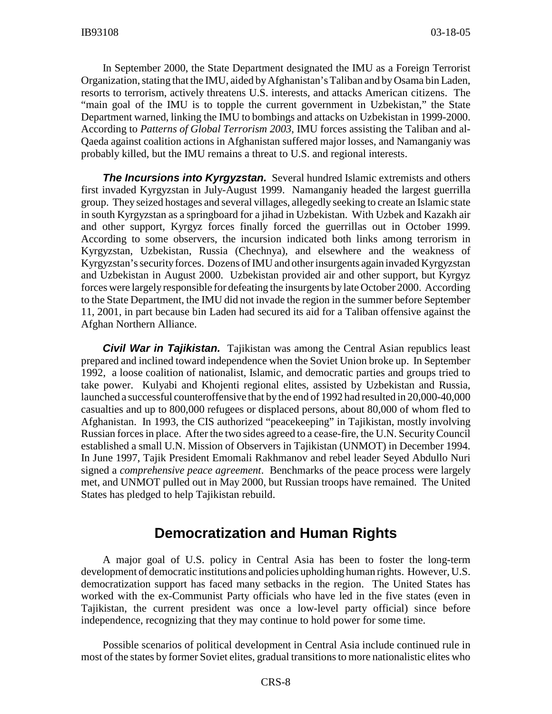In September 2000, the State Department designated the IMU as a Foreign Terrorist Organization, stating that the IMU, aided by Afghanistan's Taliban and by Osama bin Laden, resorts to terrorism, actively threatens U.S. interests, and attacks American citizens. The "main goal of the IMU is to topple the current government in Uzbekistan," the State Department warned, linking the IMU to bombings and attacks on Uzbekistan in 1999-2000. According to *Patterns of Global Terrorism 2003*, IMU forces assisting the Taliban and al-Qaeda against coalition actions in Afghanistan suffered major losses, and Namanganiy was probably killed, but the IMU remains a threat to U.S. and regional interests.

**The Incursions into Kyrgyzstan.** Several hundred Islamic extremists and others first invaded Kyrgyzstan in July-August 1999. Namanganiy headed the largest guerrilla group. They seized hostages and several villages, allegedly seeking to create an Islamic state in south Kyrgyzstan as a springboard for a jihad in Uzbekistan. With Uzbek and Kazakh air and other support, Kyrgyz forces finally forced the guerrillas out in October 1999. According to some observers, the incursion indicated both links among terrorism in Kyrgyzstan, Uzbekistan, Russia (Chechnya), and elsewhere and the weakness of Kyrgyzstan's security forces. Dozens of IMU and other insurgents again invaded Kyrgyzstan and Uzbekistan in August 2000. Uzbekistan provided air and other support, but Kyrgyz forces were largely responsible for defeating the insurgents by late October 2000. According to the State Department, the IMU did not invade the region in the summer before September 11, 2001, in part because bin Laden had secured its aid for a Taliban offensive against the Afghan Northern Alliance.

*Civil War in Tajikistan.* Tajikistan was among the Central Asian republics least prepared and inclined toward independence when the Soviet Union broke up. In September 1992, a loose coalition of nationalist, Islamic, and democratic parties and groups tried to take power. Kulyabi and Khojenti regional elites, assisted by Uzbekistan and Russia, launched a successful counteroffensive that by the end of 1992 had resulted in 20,000-40,000 casualties and up to 800,000 refugees or displaced persons, about 80,000 of whom fled to Afghanistan. In 1993, the CIS authorized "peacekeeping" in Tajikistan, mostly involving Russian forces in place. After the two sides agreed to a cease-fire, the U.N. Security Council established a small U.N. Mission of Observers in Tajikistan (UNMOT) in December 1994. In June 1997, Tajik President Emomali Rakhmanov and rebel leader Seyed Abdullo Nuri signed a *comprehensive peace agreement*. Benchmarks of the peace process were largely met, and UNMOT pulled out in May 2000, but Russian troops have remained. The United States has pledged to help Tajikistan rebuild.

#### **Democratization and Human Rights**

A major goal of U.S. policy in Central Asia has been to foster the long-term development of democratic institutions and policies upholding human rights. However, U.S. democratization support has faced many setbacks in the region. The United States has worked with the ex-Communist Party officials who have led in the five states (even in Tajikistan, the current president was once a low-level party official) since before independence, recognizing that they may continue to hold power for some time.

Possible scenarios of political development in Central Asia include continued rule in most of the states by former Soviet elites, gradual transitions to more nationalistic elites who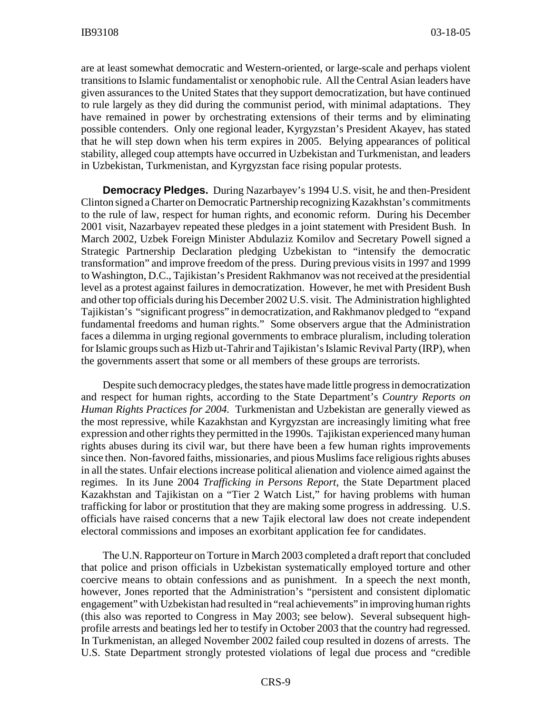are at least somewhat democratic and Western-oriented, or large-scale and perhaps violent transitions to Islamic fundamentalist or xenophobic rule. All the Central Asian leaders have given assurances to the United States that they support democratization, but have continued to rule largely as they did during the communist period, with minimal adaptations. They have remained in power by orchestrating extensions of their terms and by eliminating possible contenders. Only one regional leader, Kyrgyzstan's President Akayev, has stated that he will step down when his term expires in 2005. Belying appearances of political stability, alleged coup attempts have occurred in Uzbekistan and Turkmenistan, and leaders in Uzbekistan, Turkmenistan, and Kyrgyzstan face rising popular protests.

**Democracy Pledges.** During Nazarbayev's 1994 U.S. visit, he and then-President Clinton signed a Charter on Democratic Partnership recognizing Kazakhstan's commitments to the rule of law, respect for human rights, and economic reform. During his December 2001 visit, Nazarbayev repeated these pledges in a joint statement with President Bush. In March 2002, Uzbek Foreign Minister Abdulaziz Komilov and Secretary Powell signed a Strategic Partnership Declaration pledging Uzbekistan to "intensify the democratic transformation" and improve freedom of the press. During previous visits in 1997 and 1999 to Washington, D.C., Tajikistan's President Rakhmanov was not received at the presidential level as a protest against failures in democratization. However, he met with President Bush and other top officials during his December 2002 U.S. visit. The Administration highlighted Tajikistan's "significant progress" in democratization, and Rakhmanov pledged to "expand fundamental freedoms and human rights." Some observers argue that the Administration faces a dilemma in urging regional governments to embrace pluralism, including toleration for Islamic groups such as Hizb ut-Tahrir and Tajikistan's Islamic Revival Party (IRP), when the governments assert that some or all members of these groups are terrorists.

Despite such democracy pledges, the states have made little progress in democratization and respect for human rights, according to the State Department's *Country Reports on Human Rights Practices for 2004.* Turkmenistan and Uzbekistan are generally viewed as the most repressive, while Kazakhstan and Kyrgyzstan are increasingly limiting what free expression and other rights they permitted in the 1990s. Tajikistan experienced many human rights abuses during its civil war, but there have been a few human rights improvements since then. Non-favored faiths, missionaries, and pious Muslims face religious rights abuses in all the states. Unfair elections increase political alienation and violence aimed against the regimes. In its June 2004 *Trafficking in Persons Report*, the State Department placed Kazakhstan and Tajikistan on a "Tier 2 Watch List," for having problems with human trafficking for labor or prostitution that they are making some progress in addressing. U.S. officials have raised concerns that a new Tajik electoral law does not create independent electoral commissions and imposes an exorbitant application fee for candidates.

The U.N. Rapporteur on Torture in March 2003 completed a draft report that concluded that police and prison officials in Uzbekistan systematically employed torture and other coercive means to obtain confessions and as punishment. In a speech the next month, however, Jones reported that the Administration's "persistent and consistent diplomatic engagement" with Uzbekistan had resulted in "real achievements" in improving human rights (this also was reported to Congress in May 2003; see below). Several subsequent highprofile arrests and beatings led her to testify in October 2003 that the country had regressed. In Turkmenistan, an alleged November 2002 failed coup resulted in dozens of arrests. The U.S. State Department strongly protested violations of legal due process and "credible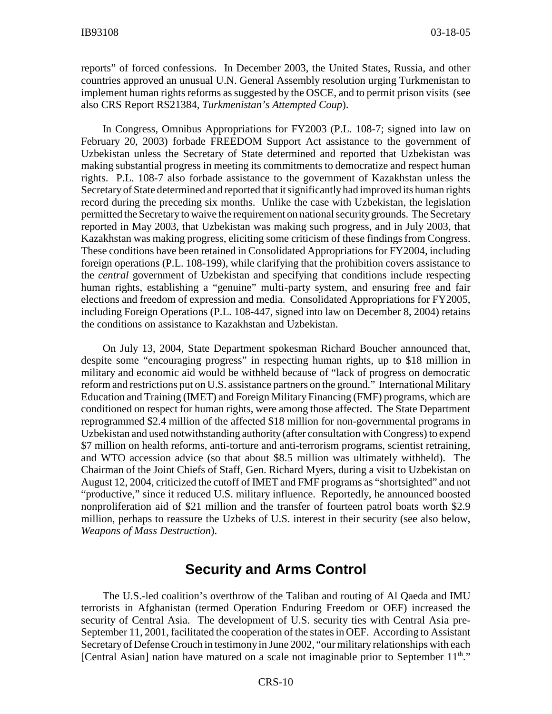reports" of forced confessions. In December 2003, the United States, Russia, and other countries approved an unusual U.N. General Assembly resolution urging Turkmenistan to implement human rights reforms as suggested by the OSCE, and to permit prison visits (see also CRS Report RS21384, *Turkmenistan's Attempted Coup*).

In Congress, Omnibus Appropriations for FY2003 (P.L. 108-7; signed into law on February 20, 2003) forbade FREEDOM Support Act assistance to the government of Uzbekistan unless the Secretary of State determined and reported that Uzbekistan was making substantial progress in meeting its commitments to democratize and respect human rights. P.L. 108-7 also forbade assistance to the government of Kazakhstan unless the Secretary of State determined and reported that it significantly had improved its human rights record during the preceding six months. Unlike the case with Uzbekistan, the legislation permitted the Secretary to waive the requirement on national security grounds. The Secretary reported in May 2003, that Uzbekistan was making such progress, and in July 2003, that Kazakhstan was making progress, eliciting some criticism of these findings from Congress. These conditions have been retained in Consolidated Appropriations for FY2004, including foreign operations (P.L. 108-199), while clarifying that the prohibition covers assistance to the *central* government of Uzbekistan and specifying that conditions include respecting human rights, establishing a "genuine" multi-party system, and ensuring free and fair elections and freedom of expression and media. Consolidated Appropriations for FY2005, including Foreign Operations (P.L. 108-447, signed into law on December 8, 2004) retains the conditions on assistance to Kazakhstan and Uzbekistan.

On July 13, 2004, State Department spokesman Richard Boucher announced that, despite some "encouraging progress" in respecting human rights, up to \$18 million in military and economic aid would be withheld because of "lack of progress on democratic reform and restrictions put on U.S. assistance partners on the ground." International Military Education and Training (IMET) and Foreign Military Financing (FMF) programs, which are conditioned on respect for human rights, were among those affected. The State Department reprogrammed \$2.4 million of the affected \$18 million for non-governmental programs in Uzbekistan and used notwithstanding authority (after consultation with Congress) to expend \$7 million on health reforms, anti-torture and anti-terrorism programs, scientist retraining, and WTO accession advice (so that about \$8.5 million was ultimately withheld). The Chairman of the Joint Chiefs of Staff, Gen. Richard Myers, during a visit to Uzbekistan on August 12, 2004, criticized the cutoff of IMET and FMF programs as "shortsighted" and not "productive," since it reduced U.S. military influence. Reportedly, he announced boosted nonproliferation aid of \$21 million and the transfer of fourteen patrol boats worth \$2.9 million, perhaps to reassure the Uzbeks of U.S. interest in their security (see also below, *Weapons of Mass Destruction*).

#### **Security and Arms Control**

The U.S.-led coalition's overthrow of the Taliban and routing of Al Qaeda and IMU terrorists in Afghanistan (termed Operation Enduring Freedom or OEF) increased the security of Central Asia. The development of U.S. security ties with Central Asia pre-September 11, 2001, facilitated the cooperation of the states in OEF. According to Assistant Secretary of Defense Crouch in testimony in June 2002, "our military relationships with each [Central Asian] nation have matured on a scale not imaginable prior to September  $11<sup>th</sup>$ ."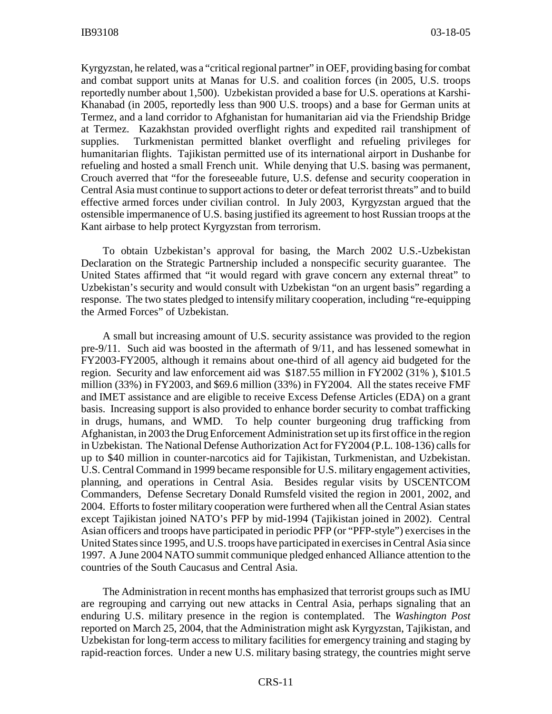Kyrgyzstan, he related, was a "critical regional partner" in OEF, providing basing for combat and combat support units at Manas for U.S. and coalition forces (in 2005, U.S. troops reportedly number about 1,500). Uzbekistan provided a base for U.S. operations at Karshi-Khanabad (in 2005, reportedly less than 900 U.S. troops) and a base for German units at Termez, and a land corridor to Afghanistan for humanitarian aid via the Friendship Bridge at Termez. Kazakhstan provided overflight rights and expedited rail transhipment of supplies. Turkmenistan permitted blanket overflight and refueling privileges for humanitarian flights. Tajikistan permitted use of its international airport in Dushanbe for refueling and hosted a small French unit. While denying that U.S. basing was permanent, Crouch averred that "for the foreseeable future, U.S. defense and security cooperation in Central Asia must continue to support actions to deter or defeat terrorist threats" and to build effective armed forces under civilian control. In July 2003, Kyrgyzstan argued that the ostensible impermanence of U.S. basing justified its agreement to host Russian troops at the Kant airbase to help protect Kyrgyzstan from terrorism.

To obtain Uzbekistan's approval for basing, the March 2002 U.S.-Uzbekistan Declaration on the Strategic Partnership included a nonspecific security guarantee. The United States affirmed that "it would regard with grave concern any external threat" to Uzbekistan's security and would consult with Uzbekistan "on an urgent basis" regarding a response. The two states pledged to intensify military cooperation, including "re-equipping the Armed Forces" of Uzbekistan.

A small but increasing amount of U.S. security assistance was provided to the region pre-9/11. Such aid was boosted in the aftermath of 9/11, and has lessened somewhat in FY2003-FY2005, although it remains about one-third of all agency aid budgeted for the region. Security and law enforcement aid was \$187.55 million in FY2002 (31% ), \$101.5 million (33%) in FY2003, and \$69.6 million (33%) in FY2004. All the states receive FMF and IMET assistance and are eligible to receive Excess Defense Articles (EDA) on a grant basis. Increasing support is also provided to enhance border security to combat trafficking in drugs, humans, and WMD. To help counter burgeoning drug trafficking from Afghanistan, in 2003 the Drug Enforcement Administration set up its first office in the region in Uzbekistan. The National Defense Authorization Act for FY2004 (P.L. 108-136) calls for up to \$40 million in counter-narcotics aid for Tajikistan, Turkmenistan, and Uzbekistan. U.S. Central Command in 1999 became responsible for U.S. military engagement activities, planning, and operations in Central Asia. Besides regular visits by USCENTCOM Commanders, Defense Secretary Donald Rumsfeld visited the region in 2001, 2002, and 2004. Efforts to foster military cooperation were furthered when all the Central Asian states except Tajikistan joined NATO's PFP by mid-1994 (Tajikistan joined in 2002). Central Asian officers and troops have participated in periodic PFP (or "PFP-style") exercises in the United States since 1995, and U.S. troops have participated in exercises in Central Asia since 1997. A June 2004 NATO summit communique pledged enhanced Alliance attention to the countries of the South Caucasus and Central Asia.

The Administration in recent months has emphasized that terrorist groups such as IMU are regrouping and carrying out new attacks in Central Asia, perhaps signaling that an enduring U.S. military presence in the region is contemplated. The *Washington Post* reported on March 25, 2004, that the Administration might ask Kyrgyzstan, Tajikistan, and Uzbekistan for long-term access to military facilities for emergency training and staging by rapid-reaction forces. Under a new U.S. military basing strategy, the countries might serve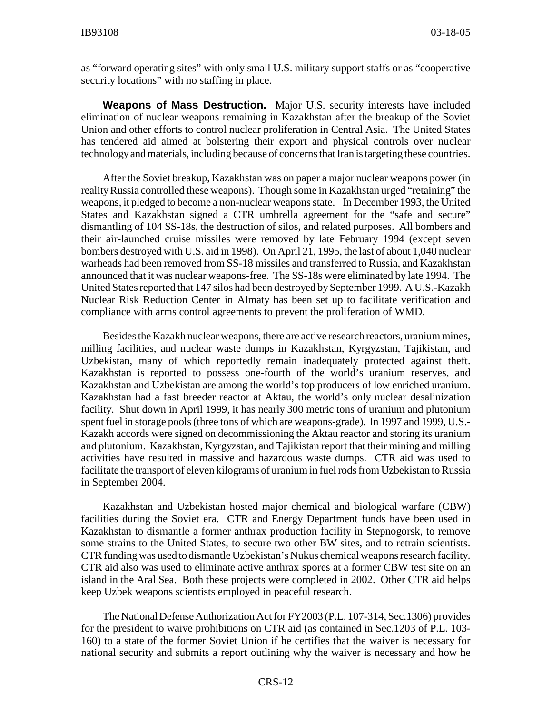as "forward operating sites" with only small U.S. military support staffs or as "cooperative security locations" with no staffing in place.

**Weapons of Mass Destruction.** Major U.S. security interests have included elimination of nuclear weapons remaining in Kazakhstan after the breakup of the Soviet Union and other efforts to control nuclear proliferation in Central Asia. The United States has tendered aid aimed at bolstering their export and physical controls over nuclear technology and materials, including because of concerns that Iran is targeting these countries.

After the Soviet breakup, Kazakhstan was on paper a major nuclear weapons power (in reality Russia controlled these weapons). Though some in Kazakhstan urged "retaining" the weapons, it pledged to become a non-nuclear weapons state. In December 1993, the United States and Kazakhstan signed a CTR umbrella agreement for the "safe and secure" dismantling of 104 SS-18s, the destruction of silos, and related purposes. All bombers and their air-launched cruise missiles were removed by late February 1994 (except seven bombers destroyed with U.S. aid in 1998). On April 21, 1995, the last of about 1,040 nuclear warheads had been removed from SS-18 missiles and transferred to Russia, and Kazakhstan announced that it was nuclear weapons-free. The SS-18s were eliminated by late 1994. The United States reported that 147 silos had been destroyed by September 1999. A U.S.-Kazakh Nuclear Risk Reduction Center in Almaty has been set up to facilitate verification and compliance with arms control agreements to prevent the proliferation of WMD.

Besides the Kazakh nuclear weapons, there are active research reactors, uranium mines, milling facilities, and nuclear waste dumps in Kazakhstan, Kyrgyzstan, Tajikistan, and Uzbekistan, many of which reportedly remain inadequately protected against theft. Kazakhstan is reported to possess one-fourth of the world's uranium reserves, and Kazakhstan and Uzbekistan are among the world's top producers of low enriched uranium. Kazakhstan had a fast breeder reactor at Aktau, the world's only nuclear desalinization facility. Shut down in April 1999, it has nearly 300 metric tons of uranium and plutonium spent fuel in storage pools (three tons of which are weapons-grade). In 1997 and 1999, U.S.- Kazakh accords were signed on decommissioning the Aktau reactor and storing its uranium and plutonium. Kazakhstan, Kyrgyzstan, and Tajikistan report that their mining and milling activities have resulted in massive and hazardous waste dumps. CTR aid was used to facilitate the transport of eleven kilograms of uranium in fuel rods from Uzbekistan to Russia in September 2004.

Kazakhstan and Uzbekistan hosted major chemical and biological warfare (CBW) facilities during the Soviet era. CTR and Energy Department funds have been used in Kazakhstan to dismantle a former anthrax production facility in Stepnogorsk, to remove some strains to the United States, to secure two other BW sites, and to retrain scientists. CTR funding was used to dismantle Uzbekistan's Nukus chemical weapons research facility. CTR aid also was used to eliminate active anthrax spores at a former CBW test site on an island in the Aral Sea. Both these projects were completed in 2002. Other CTR aid helps keep Uzbek weapons scientists employed in peaceful research.

The National Defense Authorization Act for FY2003 (P.L. 107-314, Sec.1306) provides for the president to waive prohibitions on CTR aid (as contained in Sec.1203 of P.L. 103- 160) to a state of the former Soviet Union if he certifies that the waiver is necessary for national security and submits a report outlining why the waiver is necessary and how he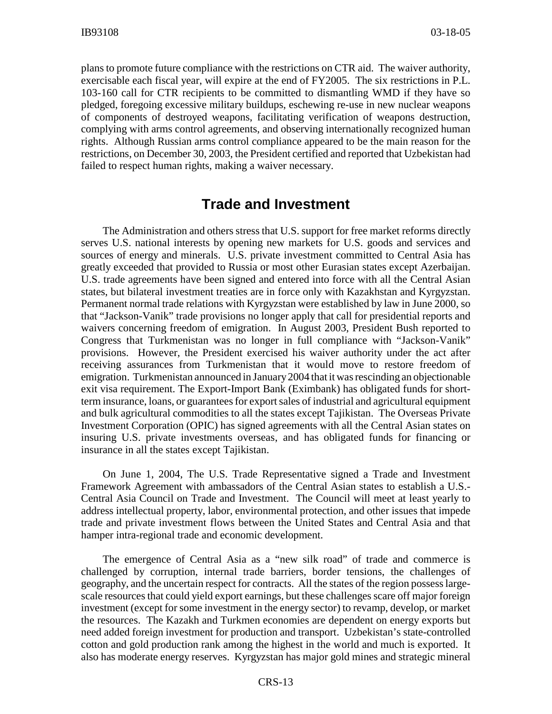plans to promote future compliance with the restrictions on CTR aid. The waiver authority, exercisable each fiscal year, will expire at the end of FY2005. The six restrictions in P.L. 103-160 call for CTR recipients to be committed to dismantling WMD if they have so pledged, foregoing excessive military buildups, eschewing re-use in new nuclear weapons of components of destroyed weapons, facilitating verification of weapons destruction, complying with arms control agreements, and observing internationally recognized human rights. Although Russian arms control compliance appeared to be the main reason for the restrictions, on December 30, 2003, the President certified and reported that Uzbekistan had failed to respect human rights, making a waiver necessary.

#### **Trade and Investment**

The Administration and others stress that U.S. support for free market reforms directly serves U.S. national interests by opening new markets for U.S. goods and services and sources of energy and minerals. U.S. private investment committed to Central Asia has greatly exceeded that provided to Russia or most other Eurasian states except Azerbaijan. U.S. trade agreements have been signed and entered into force with all the Central Asian states, but bilateral investment treaties are in force only with Kazakhstan and Kyrgyzstan. Permanent normal trade relations with Kyrgyzstan were established by law in June 2000, so that "Jackson-Vanik" trade provisions no longer apply that call for presidential reports and waivers concerning freedom of emigration. In August 2003, President Bush reported to Congress that Turkmenistan was no longer in full compliance with "Jackson-Vanik" provisions. However, the President exercised his waiver authority under the act after receiving assurances from Turkmenistan that it would move to restore freedom of emigration. Turkmenistan announced in January 2004 that it was rescinding an objectionable exit visa requirement. The Export-Import Bank (Eximbank) has obligated funds for shortterm insurance, loans, or guarantees for export sales of industrial and agricultural equipment and bulk agricultural commodities to all the states except Tajikistan. The Overseas Private Investment Corporation (OPIC) has signed agreements with all the Central Asian states on insuring U.S. private investments overseas, and has obligated funds for financing or insurance in all the states except Tajikistan.

On June 1, 2004, The U.S. Trade Representative signed a Trade and Investment Framework Agreement with ambassadors of the Central Asian states to establish a U.S.- Central Asia Council on Trade and Investment. The Council will meet at least yearly to address intellectual property, labor, environmental protection, and other issues that impede trade and private investment flows between the United States and Central Asia and that hamper intra-regional trade and economic development.

The emergence of Central Asia as a "new silk road" of trade and commerce is challenged by corruption, internal trade barriers, border tensions, the challenges of geography, and the uncertain respect for contracts. All the states of the region possess largescale resources that could yield export earnings, but these challenges scare off major foreign investment (except for some investment in the energy sector) to revamp, develop, or market the resources. The Kazakh and Turkmen economies are dependent on energy exports but need added foreign investment for production and transport. Uzbekistan's state-controlled cotton and gold production rank among the highest in the world and much is exported. It also has moderate energy reserves. Kyrgyzstan has major gold mines and strategic mineral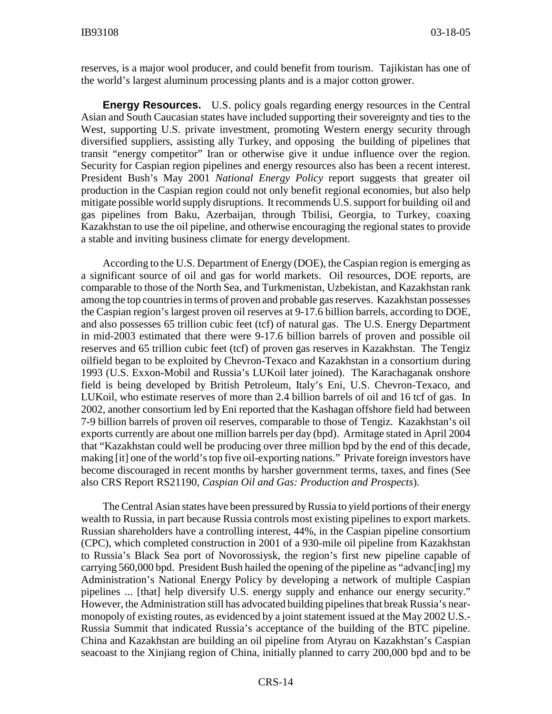reserves, is a major wool producer, and could benefit from tourism. Tajikistan has one of the world's largest aluminum processing plants and is a major cotton grower.

**Energy Resources.** U.S. policy goals regarding energy resources in the Central Asian and South Caucasian states have included supporting their sovereignty and ties to the West, supporting U.S. private investment, promoting Western energy security through diversified suppliers, assisting ally Turkey, and opposing the building of pipelines that transit "energy competitor" Iran or otherwise give it undue influence over the region. Security for Caspian region pipelines and energy resources also has been a recent interest. President Bush's May 2001 *National Energy Policy* report suggests that greater oil production in the Caspian region could not only benefit regional economies, but also help mitigate possible world supply disruptions. It recommends U.S. support for building oil and gas pipelines from Baku, Azerbaijan, through Tbilisi, Georgia, to Turkey, coaxing Kazakhstan to use the oil pipeline, and otherwise encouraging the regional states to provide a stable and inviting business climate for energy development.

According to the U.S. Department of Energy (DOE), the Caspian region is emerging as a significant source of oil and gas for world markets. Oil resources, DOE reports, are comparable to those of the North Sea, and Turkmenistan, Uzbekistan, and Kazakhstan rank among the top countries in terms of proven and probable gas reserves. Kazakhstan possesses the Caspian region's largest proven oil reserves at 9-17.6 billion barrels, according to DOE, and also possesses 65 trillion cubic feet (tcf) of natural gas. The U.S. Energy Department in mid-2003 estimated that there were 9-17.6 billion barrels of proven and possible oil reserves and 65 trillion cubic feet (tcf) of proven gas reserves in Kazakhstan. The Tengiz oilfield began to be exploited by Chevron-Texaco and Kazakhstan in a consortium during 1993 (U.S. Exxon-Mobil and Russia's LUKoil later joined). The Karachaganak onshore field is being developed by British Petroleum, Italy's Eni, U.S. Chevron-Texaco, and LUKoil, who estimate reserves of more than 2.4 billion barrels of oil and 16 tcf of gas. In 2002, another consortium led by Eni reported that the Kashagan offshore field had between 7-9 billion barrels of proven oil reserves, comparable to those of Tengiz. Kazakhstan's oil exports currently are about one million barrels per day (bpd). Armitage stated in April 2004 that "Kazakhstan could well be producing over three million bpd by the end of this decade, making [it] one of the world's top five oil-exporting nations." Private foreign investors have become discouraged in recent months by harsher government terms, taxes, and fines (See also CRS Report RS21190, *Caspian Oil and Gas: Production and Prospects*).

The Central Asian states have been pressured by Russia to yield portions of their energy wealth to Russia, in part because Russia controls most existing pipelines to export markets. Russian shareholders have a controlling interest, 44%, in the Caspian pipeline consortium (CPC), which completed construction in 2001 of a 930-mile oil pipeline from Kazakhstan to Russia's Black Sea port of Novorossiysk, the region's first new pipeline capable of carrying 560,000 bpd. President Bush hailed the opening of the pipeline as "advanc[ing] my Administration's National Energy Policy by developing a network of multiple Caspian pipelines ... [that] help diversify U.S. energy supply and enhance our energy security." However, the Administration still has advocated building pipelines that break Russia's nearmonopoly of existing routes, as evidenced by a joint statement issued at the May 2002 U.S.- Russia Summit that indicated Russia's acceptance of the building of the BTC pipeline. China and Kazakhstan are building an oil pipeline from Atyrau on Kazakhstan's Caspian seacoast to the Xinjiang region of China, initially planned to carry 200,000 bpd and to be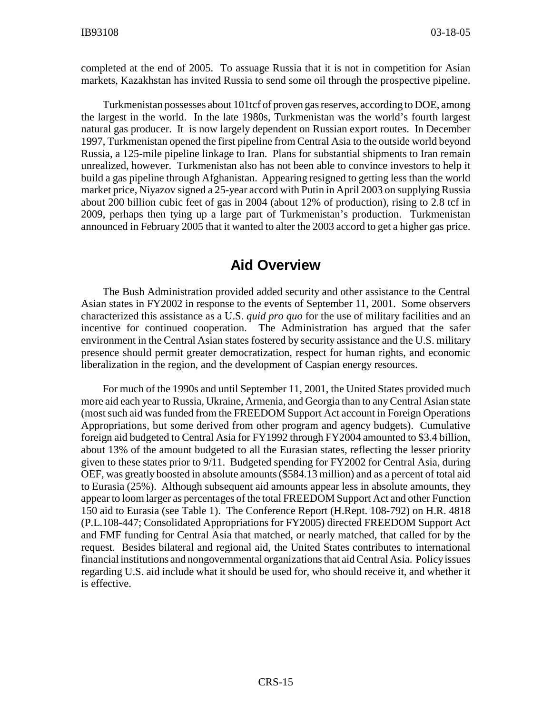completed at the end of 2005. To assuage Russia that it is not in competition for Asian markets, Kazakhstan has invited Russia to send some oil through the prospective pipeline.

Turkmenistan possesses about 101tcf of proven gas reserves, according to DOE, among the largest in the world. In the late 1980s, Turkmenistan was the world's fourth largest natural gas producer. It is now largely dependent on Russian export routes. In December 1997, Turkmenistan opened the first pipeline from Central Asia to the outside world beyond Russia, a 125-mile pipeline linkage to Iran. Plans for substantial shipments to Iran remain unrealized, however. Turkmenistan also has not been able to convince investors to help it build a gas pipeline through Afghanistan. Appearing resigned to getting less than the world market price, Niyazov signed a 25-year accord with Putin in April 2003 on supplying Russia about 200 billion cubic feet of gas in 2004 (about 12% of production), rising to 2.8 tcf in 2009, perhaps then tying up a large part of Turkmenistan's production. Turkmenistan announced in February 2005 that it wanted to alter the 2003 accord to get a higher gas price.

#### **Aid Overview**

The Bush Administration provided added security and other assistance to the Central Asian states in FY2002 in response to the events of September 11, 2001. Some observers characterized this assistance as a U.S. *quid pro quo* for the use of military facilities and an incentive for continued cooperation. The Administration has argued that the safer environment in the Central Asian states fostered by security assistance and the U.S. military presence should permit greater democratization, respect for human rights, and economic liberalization in the region, and the development of Caspian energy resources.

For much of the 1990s and until September 11, 2001, the United States provided much more aid each year to Russia, Ukraine, Armenia, and Georgia than to any Central Asian state (most such aid was funded from the FREEDOM Support Act account in Foreign Operations Appropriations, but some derived from other program and agency budgets). Cumulative foreign aid budgeted to Central Asia for FY1992 through FY2004 amounted to \$3.4 billion, about 13% of the amount budgeted to all the Eurasian states, reflecting the lesser priority given to these states prior to 9/11. Budgeted spending for FY2002 for Central Asia, during OEF, was greatly boosted in absolute amounts (\$584.13 million) and as a percent of total aid to Eurasia (25%). Although subsequent aid amounts appear less in absolute amounts, they appear to loom larger as percentages of the total FREEDOM Support Act and other Function 150 aid to Eurasia (see Table 1). The Conference Report (H.Rept. 108-792) on H.R. 4818 (P.L.108-447; Consolidated Appropriations for FY2005) directed FREEDOM Support Act and FMF funding for Central Asia that matched, or nearly matched, that called for by the request. Besides bilateral and regional aid, the United States contributes to international financial institutions and nongovernmental organizations that aid Central Asia. Policy issues regarding U.S. aid include what it should be used for, who should receive it, and whether it is effective.